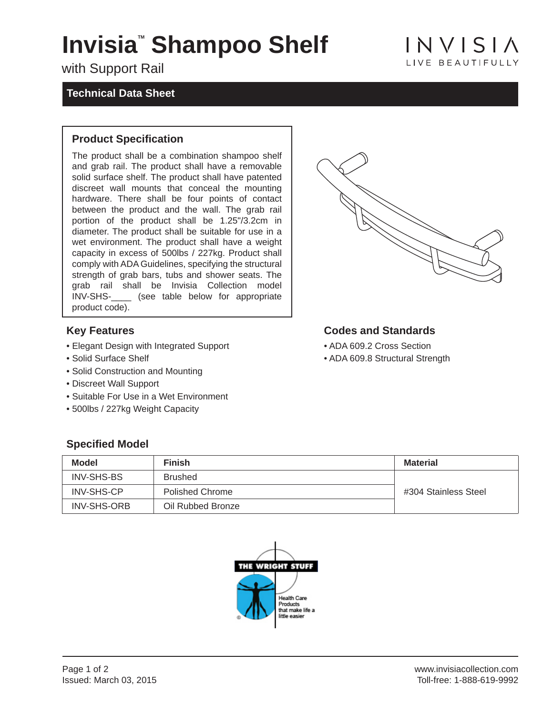## Invisia<sup>®</sup> Shampoo Shelf

with Support Rail

#### **Technical Data Sheet**

#### **Product Specification**

The product shall be a combination shampoo shelf and grab rail. The product shall have a removable solid surface shelf. The product shall have patented discreet wall mounts that conceal the mounting hardware. There shall be four points of contact between the product and the wall. The grab rail portion of the product shall be 1.25"/3.2cm in diameter. The product shall be suitable for use in a wet environment. The product shall have a weight capacity in excess of 500lbs / 227kg. Product shall comply with ADA Guidelines, specifying the structural strength of grab bars, tubs and shower seats. The grab rail shall be Invisia Collection model INV-SHS-\_\_\_\_ (see table below for appropriate product code).

#### **Key Features**

- Elegant Design with Integrated Support
- Solid Surface Shelf
- Solid Construction and Mounting
- Discreet Wall Support

**Specified Model** 

- Suitable For Use in a Wet Environment
- 500lbs / 227kg Weight Capacity

#### **Codes and Standards**

- ADA 609.2 Cross Section
- ADA 609.8 Structural Strength

| <b>Model</b>       | <b>Finish</b>          | <b>Material</b>      |
|--------------------|------------------------|----------------------|
| <b>INV-SHS-BS</b>  | <b>Brushed</b>         |                      |
| <b>INV-SHS-CP</b>  | <b>Polished Chrome</b> | #304 Stainless Steel |
| <b>INV-SHS-ORB</b> | Oil Rubbed Bronze      |                      |